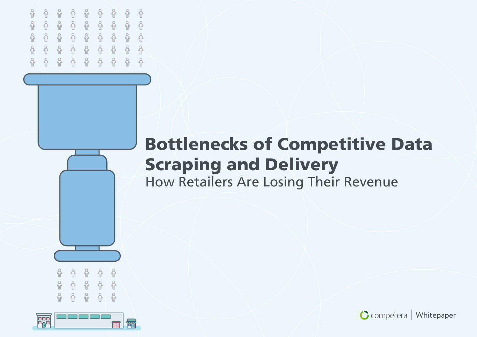

### **Bottlenecks of Competitive Data Scraping and Delivery** How Retailers Are Losing Their Revenue





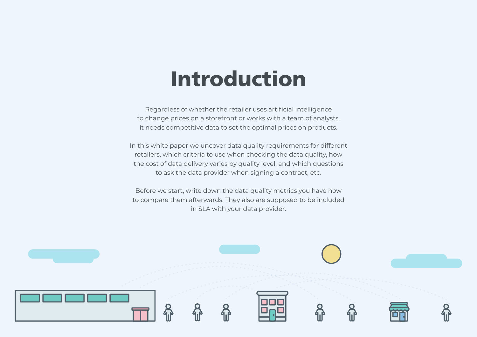### **Introduction**

Regardless of whether the retailer uses artificial intelligence to change prices on a storefront or works with a team of analysts, it needs competitive data to set the optimal prices on products.

In this white paper we uncover data quality requirements for different retailers, which criteria to use when checking the data quality, how the cost of data delivery varies by quality level, and which questions to ask the data provider when signing a contract, etc.

Before we start, write down the data quality metrics you have now to compare them afterwards. They also are supposed to be included in SLA with your data provider.

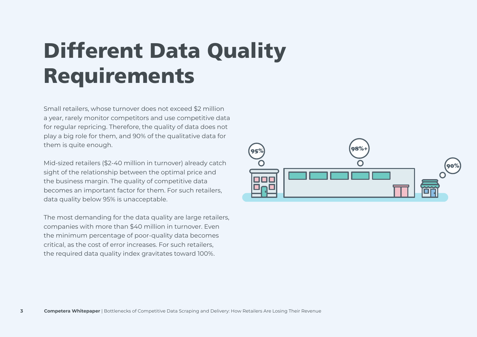## **Different Data Quality Requirements**

Small retailers, whose turnover does not exceed \$2 million a year, rarely monitor competitors and use competitive data for regular repricing. Therefore, the quality of data does not play a big role for them, and 90% of the qualitative data for them is quite enough.

Mid-sized retailers (\$2-40 million in turnover) already catch sight of the relationship between the optimal price and the business margin. The quality of competitive data becomes an important factor for them. For such retailers, data quality below 95% is unacceptable.

The most demanding for the data quality are large retailers, companies with more than \$40 million in turnover. Even the minimum percentage of poor-quality data becomes critical, as the cost of error increases. For such retailers, the required data quality index gravitates toward 100%.

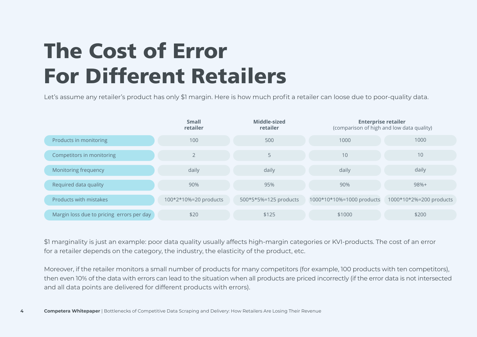## **The Cost of Error For Different Retailers**

Let's assume any retailer's product has only \$1 margin. Here is how much profit a retailer can loose due to poor-quality data.



\$1 marginality is just an example: poor data quality usually affects high-margin categories or KVI-products. The cost of an error for a retailer depends on the category, the industry, the elasticity of the product, etc.

Moreover, if the retailer monitors a small number of products for many competitors (for example, 100 products with ten competitors), then even 10% of the data with errors can lead to the situation when all products are priced incorrectly (if the error data is not intersected and all data points are delivered for different products with errors).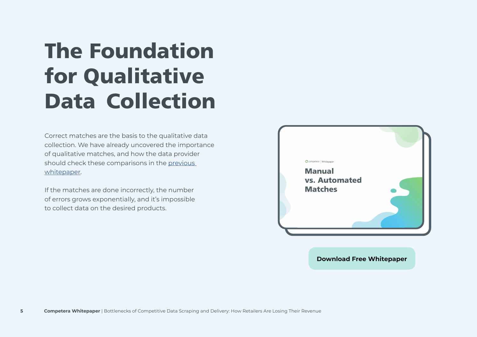## **The Foundation for Qualitative Data Collection**

Correct matches are the basis to the qualitative data collection. We have already uncovered the importance of qualitative matches, and how the data provider should check these comparisons in the [previous](https://competera.net/pdf/white-paper-automated-manual-matches.pdf)  [whitepaper.](https://competera.net/pdf/white-paper-automated-manual-matches.pdf)

If the matches are done incorrectly, the number of errors grows exponentially, and it's impossible to collect data on the desired products.



**[Download Free Whitepaper](https://competera.net/pdf/white-paper-automated-manual-matches.pdf)**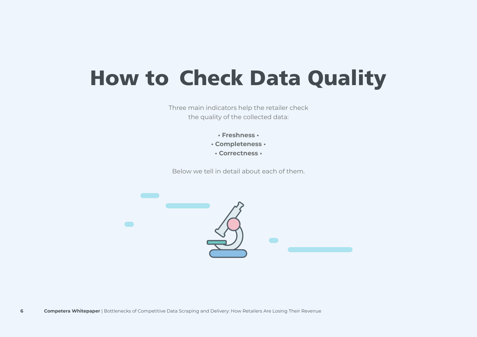### **How to Check Data Quality**

Three main indicators help the retailer check the quality of the collected data:

- **Freshness •**
- **Completeness •**
- **Correctness •**

Below we tell in detail about each of them.

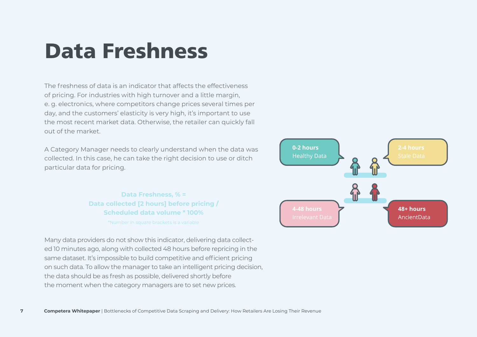### **Data Freshness**

The freshness of data is an indicator that affects the effectiveness of pricing. For industries with high turnover and a little margin, e. g. electronics, where competitors change prices several times per day, and the customers' elasticity is very high, it's important to use the most recent market data. Otherwise, the retailer can quickly fall out of the market.

A Category Manager needs to clearly understand when the data was collected. In this case, he can take the right decision to use or ditch particular data for pricing.

> **Data Freshness, % = Data collected [2 hours] before pricing / Scheduled data volume \* 100%** \*Number in square brackets is a variable

Many data providers do not show this indicator, delivering data collected 10 minutes ago, along with collected 48 hours before repricing in the same dataset. It's impossible to build competitive and efficient pricing on such data. To allow the manager to take an intelligent pricing decision, the data should be as fresh as possible, delivered shortly before the moment when the category managers are to set new prices.

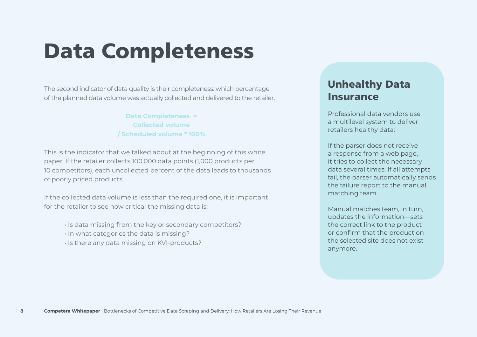### **Data Completeness**

The second indicator of data quality is their completeness: which percentage of the planned data volume was actually collected and delivered to the retailer.

> **Data Completeness = Collected volume / Scheduled volume \* 100%**

This is the indicator that we talked about at the beginning of this white paper. If the retailer collects 100,000 data points (1,000 products per 10 competitors), each uncollected percent of the data leads to thousands of poorly priced products.

If the collected data volume is less than the required one, it is important for the retailer to see how critical the missing data is:

- Is data missing from the key or secondary competitors?
- In what categories the data is missing?
- Is there any data missing on KVI-products?

### **Unhealthy Data Insurance**

Professional data vendors use a multilevel system to deliver retailers healthy data:

If the parser does not receive a response from a web page, it tries to collect the necessary data several times. If all attempts fail, the parser automatically sends the failure report to the manual matching team.

Manual matches team, in turn, updates the information—sets the correct link to the product or confirm that the product on the selected site does not exist anymore.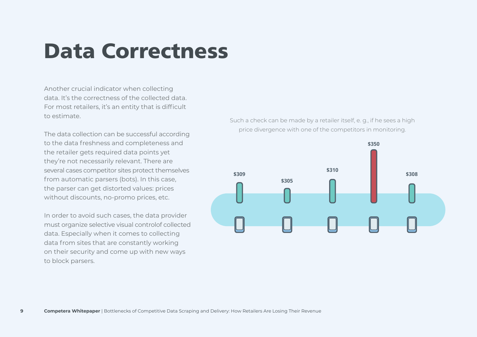### **Data Correctness**

Another crucial indicator when collecting data. It's the correctness of the collected data. For most retailers, it's an entity that is difficult to estimate.

The data collection can be successful according to the data freshness and completeness and the retailer gets required data points yet they're not necessarily relevant. There are several cases competitor sites protect themselves from automatic parsers (bots). In this case, the parser can get distorted values: prices without discounts, no-promo prices, etc.

In order to avoid such cases, the data provider must organize selective visual controlof collected data. Especially when it comes to collecting data from sites that are constantly working on their security and come up with new ways to block parsers.

Such a check can be made by a retailer itself, e. g., if he sees a high price divergence with one of the competitors in monitoring.

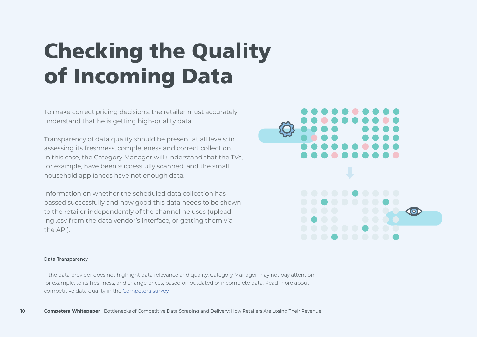# **Checking the Quality of Incoming Data**

To make correct pricing decisions, the retailer must accurately understand that he is getting high-quality data.

Transparency of data quality should be present at all levels: in assessing its freshness, completeness and correct collection. In this case, the Category Manager will understand that the TVs, for example, have been successfully scanned, and the small household appliances have not enough data.

Information on whether the scheduled data collection has passed successfully and how good this data needs to be shown to the retailer independently of the channel he uses (uploading .csv from the data vendor's interface, or getting them via the API).



#### Data Transparency

If the data provider does not highlight data relevance and quality, Category Manager may not pay attention, for example, to its freshness, and change prices, based on outdated or incomplete data. Read more about competitive data quality in the [Competera survey.](https://competera.net/pdf/survey-data-quality-en.pdf)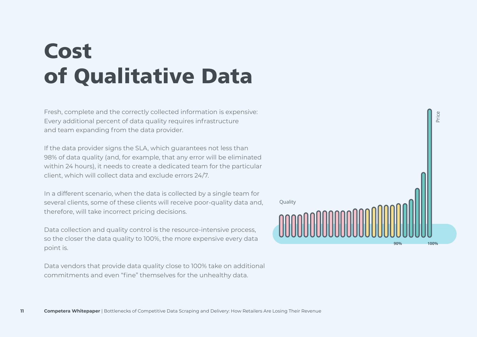## **Cost of Qualitative Data**

Fresh, complete and the correctly collected information is expensive: Every additional percent of data quality requires infrastructure and team expanding from the data provider.

If the data provider signs the SLA, which guarantees not less than 98% of data quality (and, for example, that any error will be eliminated within 24 hours), it needs to create a dedicated team for the particular client, which will collect data and exclude errors 24/7.

In a different scenario, when the data is collected by a single team for several clients, some of these clients will receive poor-quality data and, therefore, will take incorrect pricing decisions.

Data collection and quality control is the resource-intensive process, so the closer the data quality to 100%, the more expensive every data point is.

Data vendors that provide data quality close to 100% take on additional commitments and even "fine" themselves for the unhealthy data.

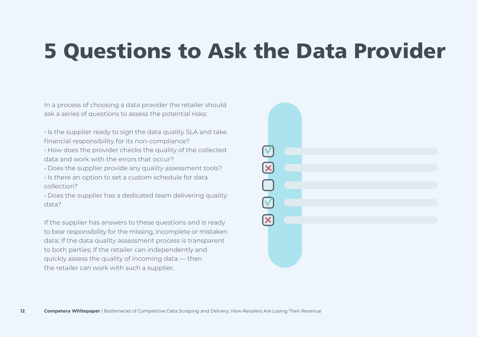### **5 Questions to Ask the Data Provider**

In a process of choosing a data provider the retailer should ask a series of questions to assess the potential risks:

- Is the supplier ready to sign the data quality SLA and take financial responsibility for its non-compliance?
- How does the provider checks the quality of the collected data and work with the errors that occur?
- Does the supplier provide any quality assessment tools?
- Is there an option to set a custom schedule for data collection?
- Does the supplier has a dedicated team delivering quality data?

If the supplier has answers to these questions and is ready to bear responsibility for the missing, incomplete or mistaken data; If the data quality assessment process is transparent to both parties; If the retailer can independently and quickly assess the quality of incoming data — then the retailer can work with such a supplier.